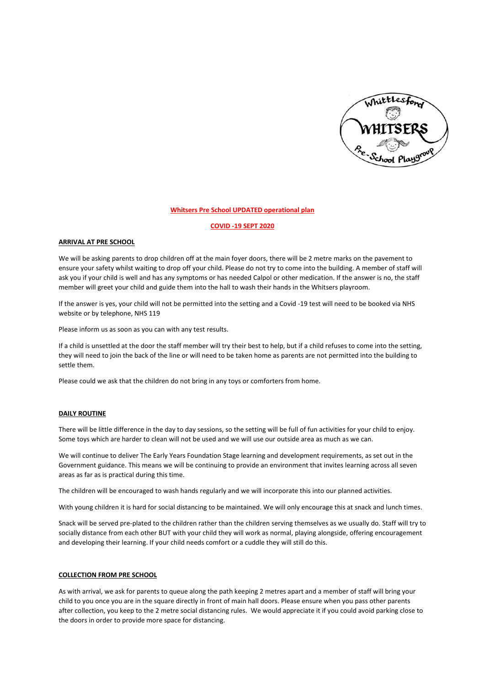

### **Whitsers Pre School UPDATED operational plan**

## **COVID -19 SEPT 2020**

### **ARRIVAL AT PRE SCHOOL**

We will be asking parents to drop children off at the main foyer doors, there will be 2 metre marks on the pavement to ensure your safety whilst waiting to drop off your child. Please do not try to come into the building. A member of staff will ask you if your child is well and has any symptoms or has needed Calpol or other medication. If the answer is no, the staff member will greet your child and guide them into the hall to wash their hands in the Whitsers playroom.

If the answer is yes, your child will not be permitted into the setting and a Covid -19 test will need to be booked via NHS website or by telephone, NHS 119

Please inform us as soon as you can with any test results.

If a child is unsettled at the door the staff member will try their best to help, but if a child refuses to come into the setting, they will need to join the back of the line or will need to be taken home as parents are not permitted into the building to settle them.

Please could we ask that the children do not bring in any toys or comforters from home.

## **DAILY ROUTINE**

There will be little difference in the day to day sessions, so the setting will be full of fun activities for your child to enjoy. Some toys which are harder to clean will not be used and we will use our outside area as much as we can.

We will continue to deliver The Early Years Foundation Stage learning and development requirements, as set out in the Government guidance. This means we will be continuing to provide an environment that invites learning across all seven areas as far as is practical during this time.

The children will be encouraged to wash hands regularly and we will incorporate this into our planned activities.

With young children it is hard for social distancing to be maintained. We will only encourage this at snack and lunch times.

Snack will be served pre-plated to the children rather than the children serving themselves as we usually do. Staff will try to socially distance from each other BUT with your child they will work as normal, playing alongside, offering encouragement and developing their learning. If your child needs comfort or a cuddle they will still do this.

## **COLLECTION FROM PRE SCHOOL**

As with arrival, we ask for parents to queue along the path keeping 2 metres apart and a member of staff will bring your child to you once you are in the square directly in front of main hall doors. Please ensure when you pass other parents after collection, you keep to the 2 metre social distancing rules. We would appreciate it if you could avoid parking close to the doors in order to provide more space for distancing.